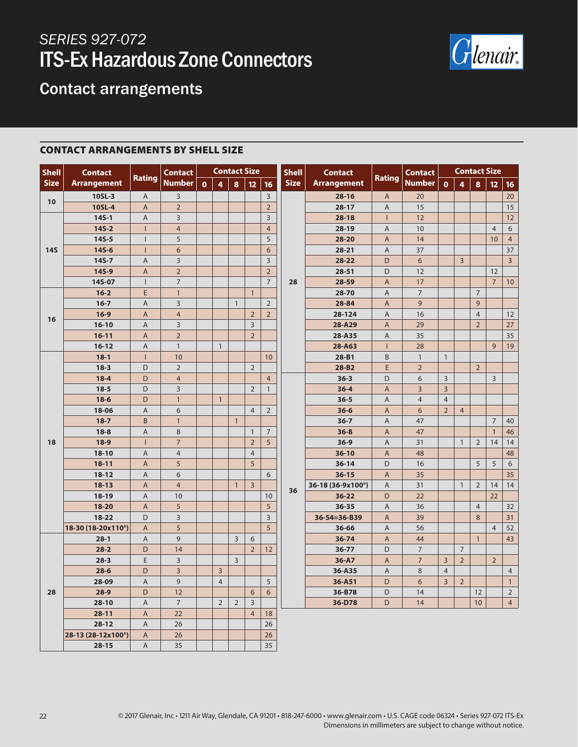

### Contact arrangements

#### CONTACT ARRANGEMENTS BY SHELL SIZE

| <b>Shell</b> | <b>Contact</b>     | <b>Rating</b>             | <b>Contact</b><br><b>Number</b> | <b>Contact Size</b> |                |                |                |                | <b>Shell</b> | <b>Contact</b>     |                | <b>Contact</b>  | <b>Contact Size</b> |                |                |                 |                |
|--------------|--------------------|---------------------------|---------------------------------|---------------------|----------------|----------------|----------------|----------------|--------------|--------------------|----------------|-----------------|---------------------|----------------|----------------|-----------------|----------------|
| <b>Size</b>  | <b>Arrangement</b> |                           |                                 | $\mathbf{o}$        | 4              | 8              | 12             | 16             | <b>Size</b>  | <b>Arrangement</b> | <b>Rating</b>  | <b>Number</b>   | $\mathbf 0$         | $\overline{4}$ | 8              | 12 <sub>2</sub> | 16             |
|              | 10SL-3             | A                         | $\overline{\mathbf{3}}$         |                     |                |                |                | $\overline{3}$ |              | $28 - 16$          | A              | 20              |                     |                |                |                 | 20             |
| 10           | 10SL-4             | $\boldsymbol{\mathsf{A}}$ | $\overline{2}$                  |                     |                |                |                | $\overline{2}$ |              | $28 - 17$          | $\mathsf A$    | 15              |                     |                |                |                 | 15             |
| <b>14S</b>   | $145 - 1$          | $\mathsf A$               | $\overline{3}$                  |                     |                |                |                | $\overline{3}$ |              | $28 - 18$          | $\mathbf{I}$   | 12              |                     |                |                |                 | 12             |
|              | $145 - 2$          | $\overline{\phantom{a}}$  | $\overline{4}$                  |                     |                |                |                | $\overline{4}$ |              | $28-19$            | A              | 10              |                     |                |                | $\overline{4}$  | 6              |
|              | $14S-5$            | $\mathsf{I}$              | 5                               |                     |                |                |                | 5              |              | 28-20              | $\mathsf A$    | 14              |                     |                |                | 10              | $\overline{4}$ |
|              | $145 - 6$          | $\mathbf{I}$              | 6                               |                     |                |                |                | $6\phantom{a}$ |              | $28 - 21$          | $\mathsf A$    | 37              |                     |                |                |                 | 37             |
|              | $14S - 7$          | $\overline{A}$            | 3                               |                     |                |                |                | $\overline{3}$ |              | 28-22              | D              | 6               |                     | $\overline{3}$ |                |                 | $\overline{3}$ |
|              | 14S-9              | $\mathsf{A}$              | $\overline{2}$                  |                     |                |                |                | $\overline{2}$ |              | $28 - 51$          | D              | 12              |                     |                |                | 12              |                |
|              | 14S-07             | $\mathbf{I}$              | $\overline{7}$                  |                     |                |                |                | $\overline{7}$ | 28           | 28-59              | A              | 17              |                     |                |                | $\overline{7}$  | 10             |
|              | $16 - 2$           | E                         | $\mathbf{1}$                    |                     |                |                | $\mathbf{1}$   |                |              | 28-70              | $\mathsf A$    | $\overline{7}$  |                     |                | $\overline{7}$ |                 |                |
|              | $16 - 7$           | $\overline{A}$            | $\overline{3}$                  |                     |                | $\mathbf{1}$   |                | $\overline{2}$ |              | 28-84              | A              | 9               |                     |                | 9              |                 |                |
| 16           | $16-9$             | $\mathsf{A}$              | $\overline{4}$                  |                     |                |                | $\overline{2}$ | $\overline{2}$ |              | 28-124             | A              | 16              |                     |                | $\overline{4}$ |                 | 12             |
|              | $16-10$            | $\overline{A}$            | $\overline{3}$                  |                     |                |                | $\overline{3}$ |                |              | 28-A29             | $\mathsf A$    | 29              |                     |                | $\overline{2}$ |                 | 27             |
|              | $16 - 11$          | $\mathsf A$               | $\overline{2}$                  |                     |                |                | $\overline{2}$ |                |              | 28-A35             | $\mathsf A$    | 35              |                     |                |                |                 | 35             |
|              | $16 - 12$          | $\overline{A}$            | $\mathbf{1}$                    |                     | $\mathbf{1}$   |                |                |                |              | 28-A63             | $\mathbf{I}$   | 28              |                     |                |                | 9               | 19             |
|              | $18-1$             | $\mathsf{I}$              | 10                              |                     |                |                |                | 10             |              | 28-B1              | B              | $\mathbf{1}$    | $\mathbf{1}$        |                |                |                 |                |
|              | $18 - 3$           | D                         | $\overline{2}$                  |                     |                |                | $\overline{2}$ |                |              | 28-B2              | E              | $\overline{2}$  |                     |                | $\overline{2}$ |                 |                |
|              | $18 - 4$           | D                         | $\overline{4}$                  |                     |                |                |                | $\overline{4}$ |              | $36 - 3$           | D              | 6               | $\overline{3}$      |                |                | $\overline{3}$  |                |
|              | $18 - 5$           | D                         | 3                               |                     |                |                | $\overline{2}$ | $\mathbf{1}$   |              | $36 - 4$           | A              | $\overline{3}$  | $\overline{3}$      |                |                |                 |                |
|              | $18-6$             | D                         | $\mathbf{1}$                    |                     | $\mathbf{1}$   |                |                |                |              | $36 - 5$           | Α              | $\overline{4}$  | $\overline{4}$      |                |                |                 |                |
|              | 18-06              | $\overline{A}$            | 6                               |                     |                |                | $\overline{4}$ | $\overline{2}$ |              | $36 - 6$           | A              | 6               | $\overline{2}$      | $\overline{4}$ |                |                 |                |
|              | $18 - 7$           | B                         | $\mathbf{1}$                    |                     |                | $\mathbf{1}$   |                |                |              | $36 - 7$           | A              | 47              |                     |                |                | $\overline{7}$  | 40             |
|              | $18 - 8$           | A                         | 8                               |                     |                |                | $\mathbf{1}$   | $\overline{7}$ |              | $36 - 8$           | A              | 47              |                     |                |                | $\mathbf{1}$    | 46             |
| 18           | $18-9$             | $\mathbf{I}$              | $\overline{7}$                  |                     |                |                | $\overline{2}$ | 5              |              | $36-9$             | $\mathsf A$    | 31              |                     | $\mathbf{1}$   | 2              | 14              | 14             |
|              | $18-10$            | $\overline{A}$            | $\overline{4}$                  |                     |                |                | $\overline{4}$ |                |              | $36-10$            | $\overline{A}$ | 48              |                     |                |                |                 | 48             |
|              | $18 - 11$          | $\mathsf{A}$              | 5                               |                     |                |                | 5              |                |              | $36 - 14$          | D              | 16              |                     |                | 5              | 5               | 6              |
|              | $18 - 12$          | A                         | 6                               |                     |                |                |                | 6              |              | $36 - 15$          | A              | 35              |                     |                |                |                 | 35             |
|              | $18 - 13$          | $\overline{A}$            | $\overline{4}$                  |                     |                | $\mathbf{1}$   | $\overline{3}$ |                | 36           | 36-18 (36-9x100°)  | $\mathsf A$    | 31              |                     | $\mathbf{1}$   | $\overline{2}$ | 14              | 14             |
|              | $18 - 19$          | $\mathsf{A}$              | 10                              |                     |                |                |                | 10             |              | $36 - 22$          | D              | 22              |                     |                |                | 22              |                |
|              | 18-20              | $\overline{A}$            | $\overline{5}$                  |                     |                |                |                | $\sqrt{5}$     |              | 36-35              | $\mathsf A$    | 36              |                     |                | $\overline{4}$ |                 | 32             |
|              | $18 - 22$          | D                         | 3                               |                     |                |                |                | $\overline{3}$ |              | 36-54=36-B39       | $\mathsf A$    | 39              |                     |                | 8              |                 | 31             |
|              | 18-30 (18-20x110°) | $\mathsf{A}$              | 5                               |                     |                |                |                | 5 <sup>5</sup> |              | 36-66              | $\mathsf A$    | 56              |                     |                |                | $\overline{4}$  | 52             |
| 28           | $28-1$             | $\overline{A}$            | 9                               |                     |                | 3              | 6              |                |              | 36-74              | A              | 44              |                     |                | $\mathbf{1}$   |                 | 43             |
|              | $28 - 2$           | D                         | 14                              |                     |                |                | $\overline{2}$ | 12             |              | 36-77              | D              | $\overline{7}$  |                     | $\overline{7}$ |                |                 |                |
|              | $28 - 3$           | E                         | 3                               |                     |                | $\overline{3}$ |                |                |              | 36-A7              | A              | $7\overline{ }$ | $\overline{3}$      | $\overline{2}$ |                | $\overline{2}$  |                |
|              | $28 - 6$           | D                         | $\overline{3}$                  |                     | $\overline{3}$ |                |                |                |              | 36-A35             | $\mathsf A$    | 8               | $\overline{4}$      |                |                |                 | $\overline{4}$ |
|              | 28-09              | $\overline{A}$            | 9                               |                     | $\overline{4}$ |                |                | 5              |              | 36-A51             | D              | 6               | $\overline{3}$      | $\overline{2}$ |                |                 | $\mathbf{1}$   |
|              | $28-9$             | D                         | 12                              |                     |                |                | 6              | 6              |              | 36-B78             | D              | 14              |                     |                | 12             |                 | $\overline{2}$ |
|              | $28-10$            | $\overline{A}$            | $\overline{7}$                  |                     | $\overline{2}$ | $\overline{2}$ | $\overline{3}$ |                |              | 36-D78             | D              | 14              |                     |                | 10             |                 | $\overline{4}$ |
|              | $28 - 11$          | $\mathsf{A}$              | 22                              |                     |                |                | $\overline{4}$ | 18             |              |                    |                |                 |                     |                |                |                 |                |
|              | $28-12$            | $\mathsf A$               | 26                              |                     |                |                |                | 26             |              |                    |                |                 |                     |                |                |                 |                |
|              | 28-13 (28-12x100°) | A                         | 26                              |                     |                |                |                | 26             |              |                    |                |                 |                     |                |                |                 |                |
|              | $28 - 15$          | $\overline{A}$            | 35                              |                     |                |                |                | 35             |              |                    |                |                 |                     |                |                |                 |                |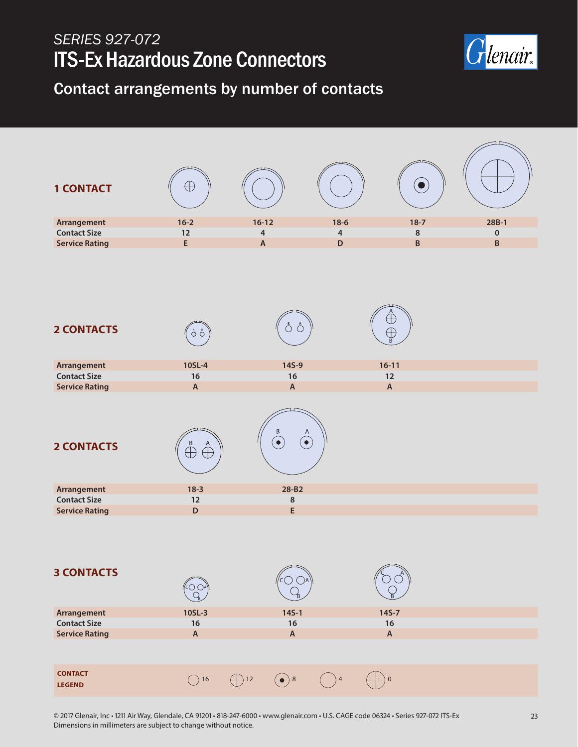

Contact arrangements by number of contacts

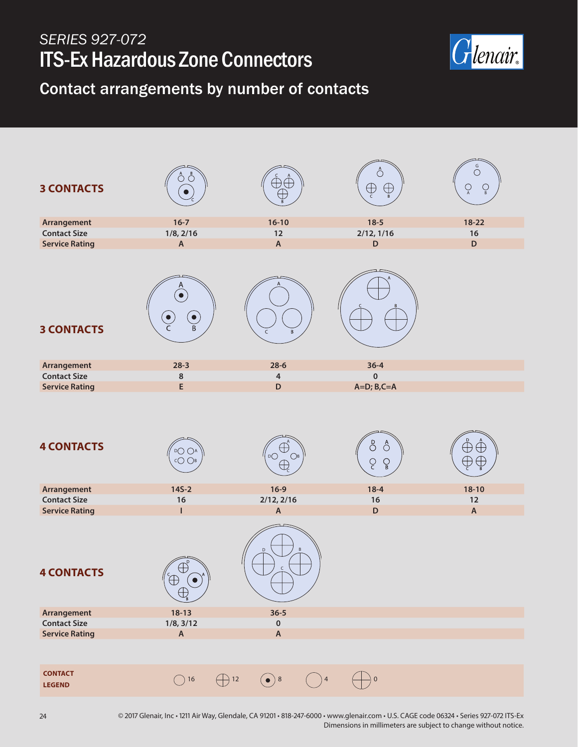

Contact arrangements by number of contacts

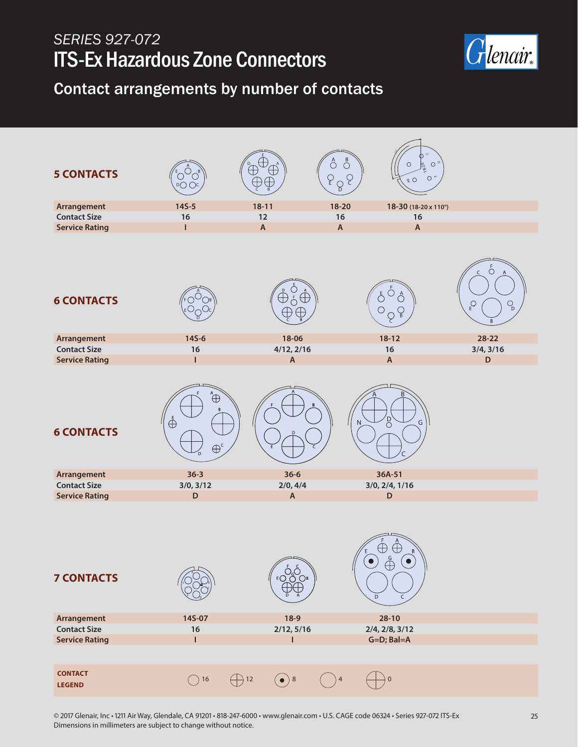

Contact arrangements by number of contacts

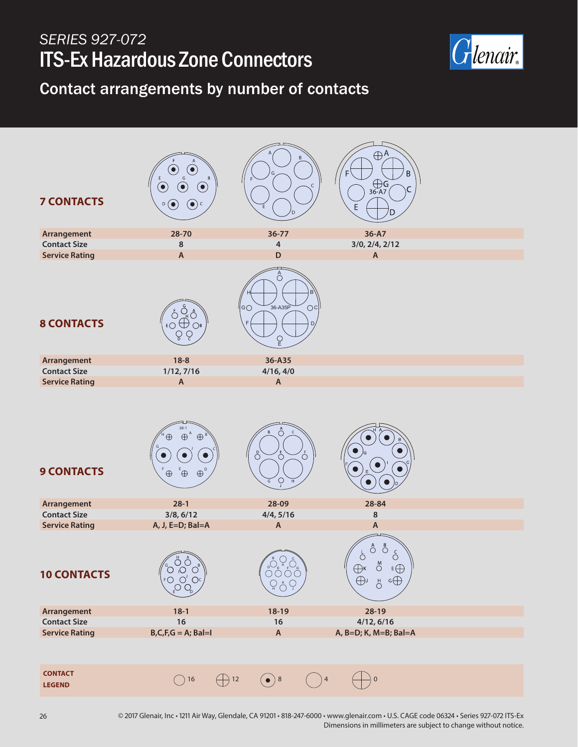

Contact arrangements by number of contacts

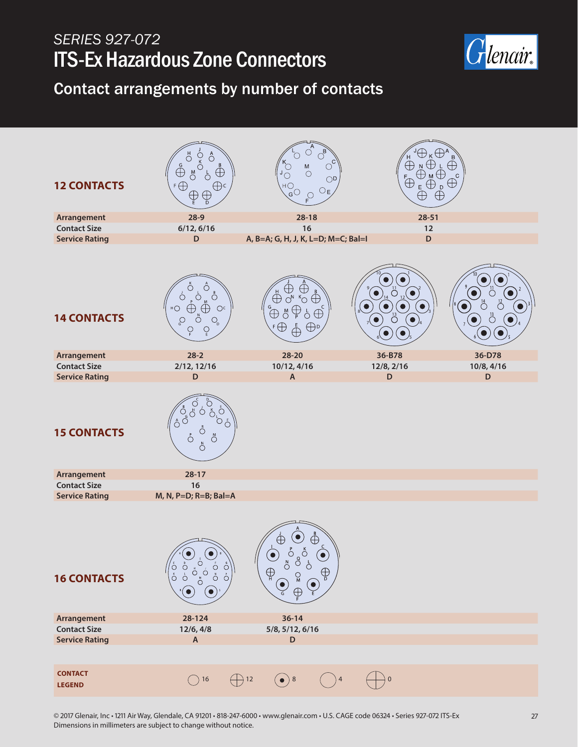

Contact arrangements by number of contacts

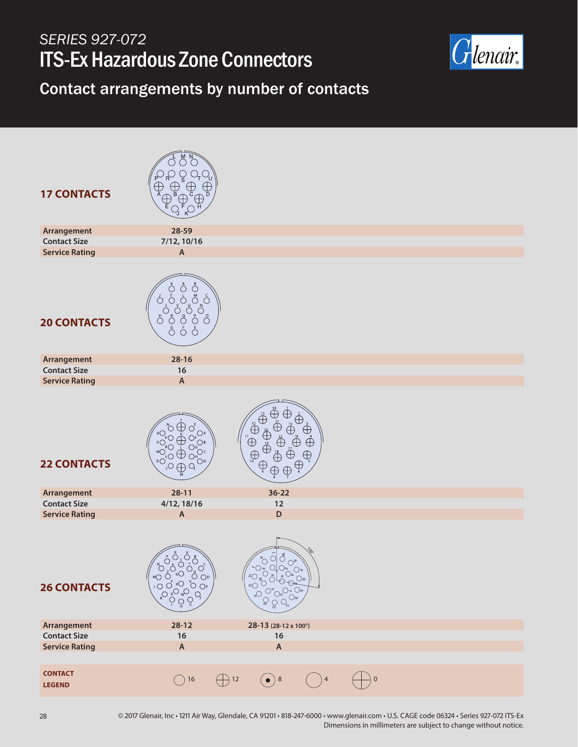

#### Contact arrangements by number of contacts

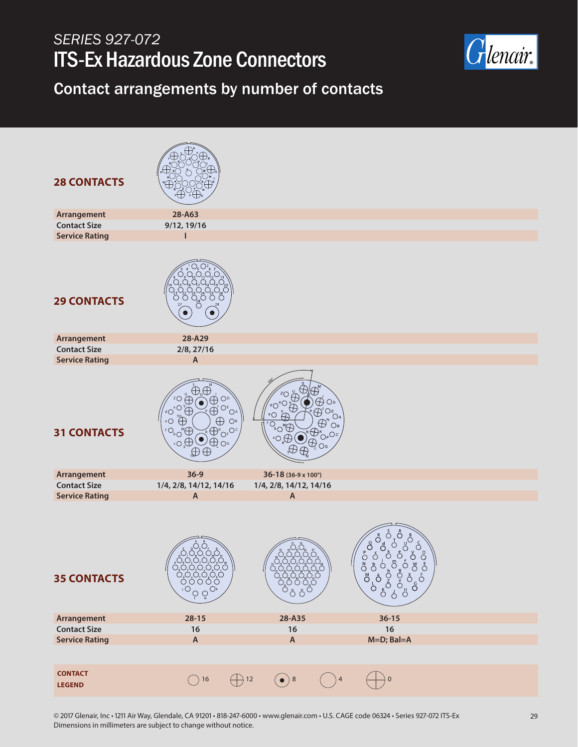

#### Contact arrangements by number of contacts

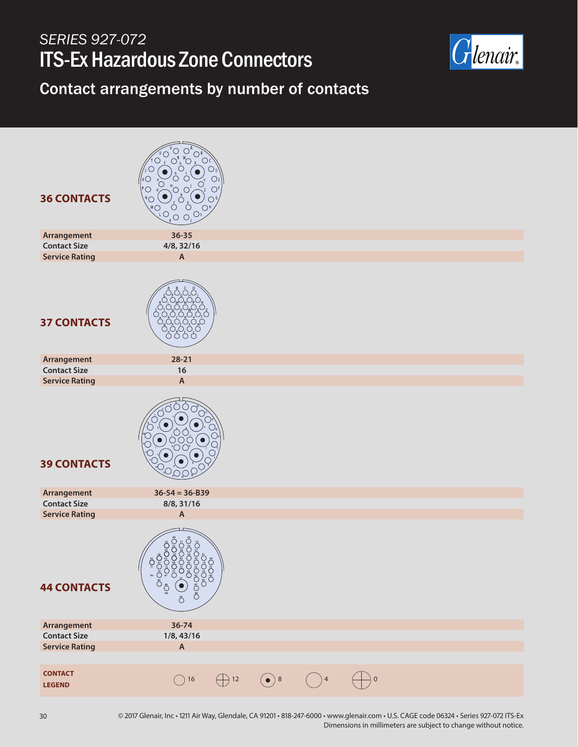

### Contact arrangements by number of contacts

| <b>36 CONTACTS</b>              | $\bigcirc$<br>$O_{D}$<br>$\bigcirc$<br>$\circ$<br>"O, O<br>$\circ$<br>$\begin{picture}(180,170) \put(0,0){\line(1,0){100}} \put(10,0){\line(1,0){100}} \put(10,0){\line(1,0){100}} \put(10,0){\line(1,0){100}} \put(10,0){\line(1,0){100}} \put(10,0){\line(1,0){100}} \put(10,0){\line(1,0){100}} \put(10,0){\line(1,0){100}} \put(10,0){\line(1,0){100}} \put(10,0){\line(1,0){100}} \put(10,0){\line(1,0){100$ |                                            |           |           |  |
|---------------------------------|-------------------------------------------------------------------------------------------------------------------------------------------------------------------------------------------------------------------------------------------------------------------------------------------------------------------------------------------------------------------------------------------------------------------|--------------------------------------------|-----------|-----------|--|
| Arrangement                     | $36 - 35$                                                                                                                                                                                                                                                                                                                                                                                                         |                                            |           |           |  |
| <b>Contact Size</b>             | 4/8, 32/16                                                                                                                                                                                                                                                                                                                                                                                                        |                                            |           |           |  |
| <b>Service Rating</b>           | $\boldsymbol{\mathsf{A}}$                                                                                                                                                                                                                                                                                                                                                                                         |                                            |           |           |  |
| <b>37 CONTACTS</b>              |                                                                                                                                                                                                                                                                                                                                                                                                                   |                                            |           |           |  |
| Arrangement                     | $28 - 21$                                                                                                                                                                                                                                                                                                                                                                                                         |                                            |           |           |  |
| <b>Contact Size</b>             | 16                                                                                                                                                                                                                                                                                                                                                                                                                |                                            |           |           |  |
| <b>Service Rating</b>           | $\boldsymbol{\mathsf{A}}$                                                                                                                                                                                                                                                                                                                                                                                         |                                            |           |           |  |
| <b>39 CONTACTS</b>              | OС                                                                                                                                                                                                                                                                                                                                                                                                                |                                            |           |           |  |
| Arrangement                     | $36 - 54 = 36 - B39$                                                                                                                                                                                                                                                                                                                                                                                              |                                            |           |           |  |
| <b>Contact Size</b>             | 8/8, 31/16                                                                                                                                                                                                                                                                                                                                                                                                        |                                            |           |           |  |
| <b>Service Rating</b>           | A                                                                                                                                                                                                                                                                                                                                                                                                                 |                                            |           |           |  |
| <b>44 CONTACTS</b>              | USÕ<br>Ö<br>Ö<br>O <sub>3</sub> O<br>ŎŦŎŦŎĸŎĸŎ<br>ŎŦŎŦŎŖŎ<br>Ŏ<br>Ş<br>°OSO<br>$\overset{\circ}{\circ}\overset{\circ}{\circ}$<br>Č<br>Ŏ<br>Ö                                                                                                                                                                                                                                                                      |                                            |           |           |  |
| Arrangement                     | $36 - 74$                                                                                                                                                                                                                                                                                                                                                                                                         |                                            |           |           |  |
| <b>Contact Size</b>             | 1/8, 43/16                                                                                                                                                                                                                                                                                                                                                                                                        |                                            |           |           |  |
| <b>Service Rating</b>           | $\boldsymbol{\mathsf{A}}$                                                                                                                                                                                                                                                                                                                                                                                         |                                            |           |           |  |
|                                 |                                                                                                                                                                                                                                                                                                                                                                                                                   |                                            |           |           |  |
| <b>CONTACT</b><br><b>LEGEND</b> | $\bigcirc$ 16                                                                                                                                                                                                                                                                                                                                                                                                     | $\left(\bullet\right)$ 8<br>$\bigoplus$ 12 | $\big)$ 4 | $\pmb{0}$ |  |
|                                 |                                                                                                                                                                                                                                                                                                                                                                                                                   |                                            |           |           |  |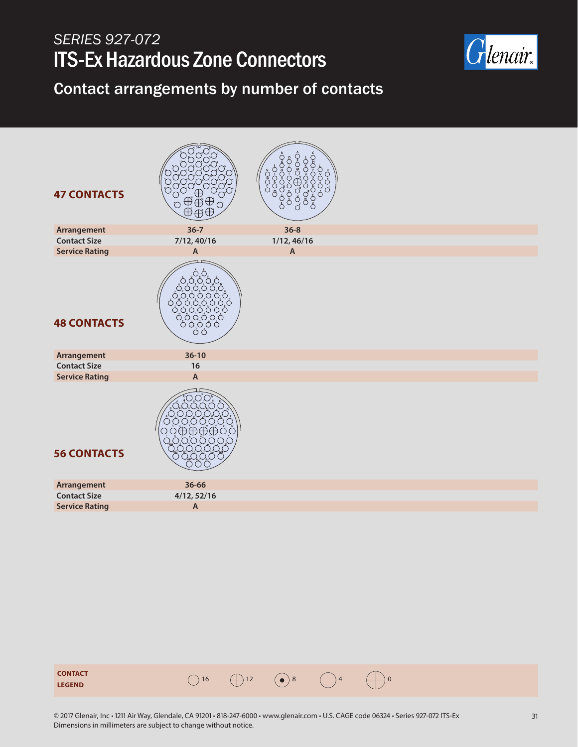

Contact arrangements by number of contacts